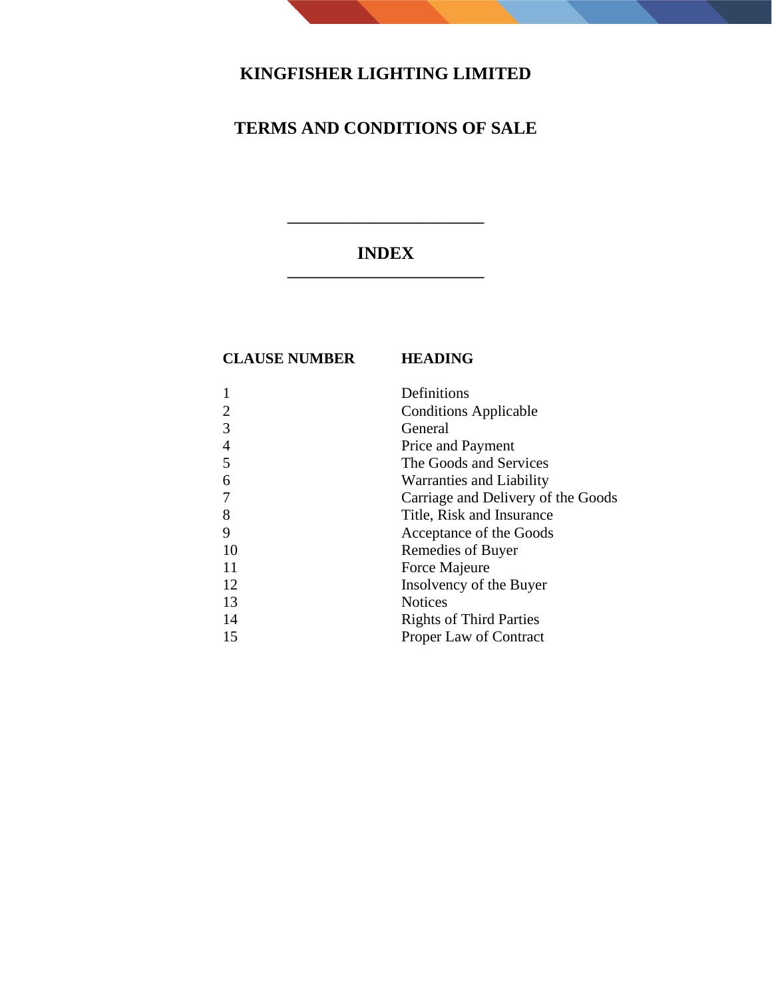# **KINGFISHER LIGHTING LIMITED**

# **TERMS AND CONDITIONS OF SALE**

# **INDEX \_\_\_\_\_\_\_\_\_\_\_\_\_\_\_\_\_\_\_\_\_\_\_\_\_\_**

**\_\_\_\_\_\_\_\_\_\_\_\_\_\_\_\_\_\_\_\_\_\_\_\_\_\_**

## **CLAUSE NUMBER HEADING**

|    | Definitions                        |
|----|------------------------------------|
| 2  | <b>Conditions Applicable</b>       |
| 3  | General                            |
| 4  | Price and Payment                  |
| 5  | The Goods and Services             |
| 6  | Warranties and Liability           |
|    | Carriage and Delivery of the Goods |
| 8  | Title, Risk and Insurance          |
| 9  | Acceptance of the Goods            |
| 10 | Remedies of Buyer                  |
| 11 | Force Majeure                      |
| 12 | Insolvency of the Buyer            |
| 13 | <b>Notices</b>                     |
| 14 | <b>Rights of Third Parties</b>     |
| 15 | Proper Law of Contract             |
|    |                                    |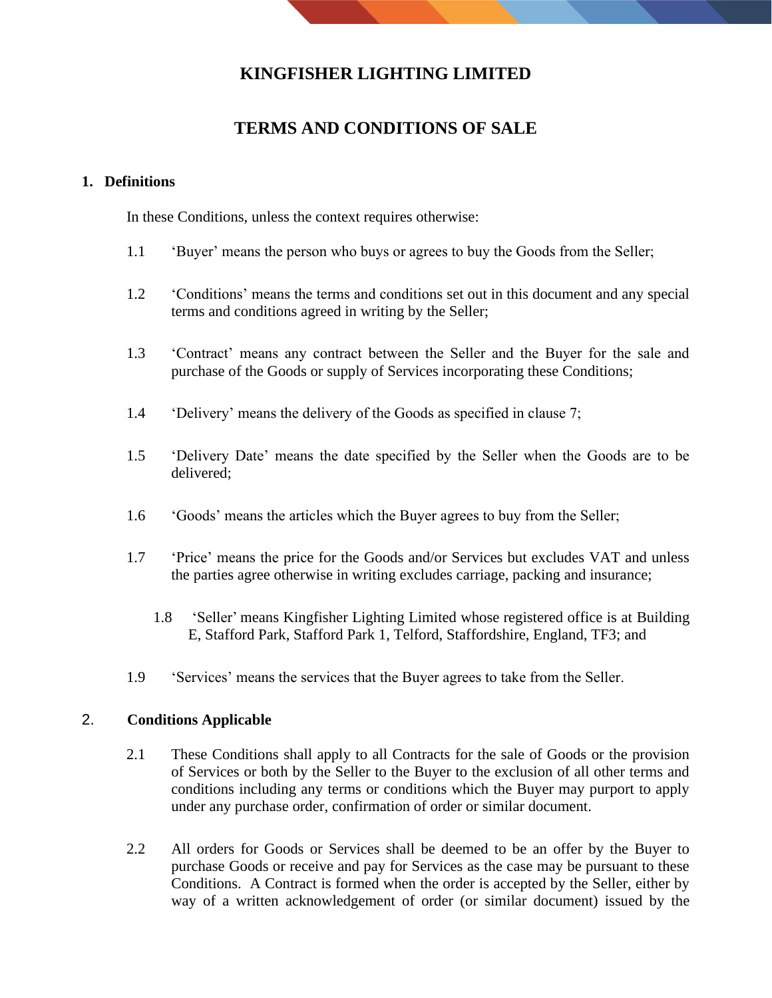# **KINGFISHER LIGHTING LIMITED**

# **TERMS AND CONDITIONS OF SALE**

#### **1. Definitions**

In these Conditions, unless the context requires otherwise:

- 1.1 'Buyer' means the person who buys or agrees to buy the Goods from the Seller;
- 1.2 'Conditions' means the terms and conditions set out in this document and any special terms and conditions agreed in writing by the Seller;
- 1.3 'Contract' means any contract between the Seller and the Buyer for the sale and purchase of the Goods or supply of Services incorporating these Conditions;
- 1.4 'Delivery' means the delivery of the Goods as specified in clause 7;
- 1.5 'Delivery Date' means the date specified by the Seller when the Goods are to be delivered;
- 1.6 'Goods' means the articles which the Buyer agrees to buy from the Seller;
- 1.7 'Price' means the price for the Goods and/or Services but excludes VAT and unless the parties agree otherwise in writing excludes carriage, packing and insurance;
	- 1.8 'Seller' means Kingfisher Lighting Limited whose registered office is at Building E, Stafford Park, Stafford Park 1, Telford, Staffordshire, England, TF3; and
- 1.9 'Services' means the services that the Buyer agrees to take from the Seller.

#### 2. **Conditions Applicable**

- 2.1 These Conditions shall apply to all Contracts for the sale of Goods or the provision of Services or both by the Seller to the Buyer to the exclusion of all other terms and conditions including any terms or conditions which the Buyer may purport to apply under any purchase order, confirmation of order or similar document.
- 2.2 All orders for Goods or Services shall be deemed to be an offer by the Buyer to purchase Goods or receive and pay for Services as the case may be pursuant to these Conditions. A Contract is formed when the order is accepted by the Seller, either by way of a written acknowledgement of order (or similar document) issued by the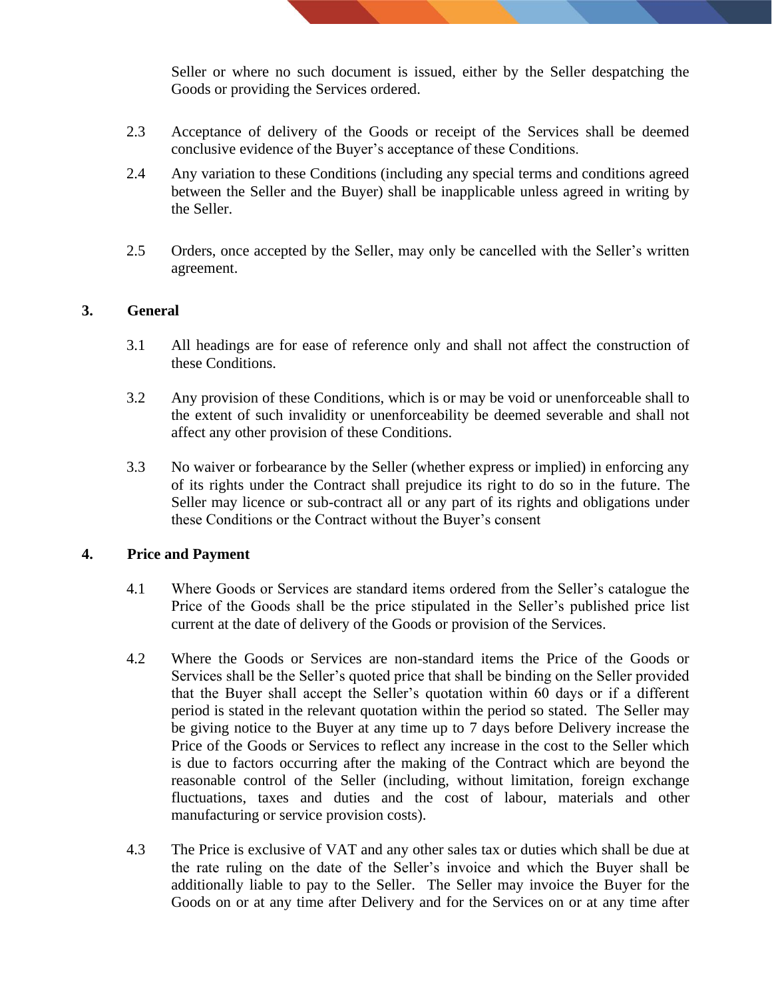Seller or where no such document is issued, either by the Seller despatching the Goods or providing the Services ordered.

- 2.3 Acceptance of delivery of the Goods or receipt of the Services shall be deemed conclusive evidence of the Buyer's acceptance of these Conditions.
- 2.4 Any variation to these Conditions (including any special terms and conditions agreed between the Seller and the Buyer) shall be inapplicable unless agreed in writing by the Seller.
- 2.5 Orders, once accepted by the Seller, may only be cancelled with the Seller's written agreement.

#### **3. General**

- 3.1 All headings are for ease of reference only and shall not affect the construction of these Conditions.
- 3.2 Any provision of these Conditions, which is or may be void or unenforceable shall to the extent of such invalidity or unenforceability be deemed severable and shall not affect any other provision of these Conditions.
- 3.3 No waiver or forbearance by the Seller (whether express or implied) in enforcing any of its rights under the Contract shall prejudice its right to do so in the future. The Seller may licence or sub-contract all or any part of its rights and obligations under these Conditions or the Contract without the Buyer's consent

#### **4. Price and Payment**

- 4.1 Where Goods or Services are standard items ordered from the Seller's catalogue the Price of the Goods shall be the price stipulated in the Seller's published price list current at the date of delivery of the Goods or provision of the Services.
- 4.2 Where the Goods or Services are non-standard items the Price of the Goods or Services shall be the Seller's quoted price that shall be binding on the Seller provided that the Buyer shall accept the Seller's quotation within 60 days or if a different period is stated in the relevant quotation within the period so stated. The Seller may be giving notice to the Buyer at any time up to 7 days before Delivery increase the Price of the Goods or Services to reflect any increase in the cost to the Seller which is due to factors occurring after the making of the Contract which are beyond the reasonable control of the Seller (including, without limitation, foreign exchange fluctuations, taxes and duties and the cost of labour, materials and other manufacturing or service provision costs).
- 4.3 The Price is exclusive of VAT and any other sales tax or duties which shall be due at the rate ruling on the date of the Seller's invoice and which the Buyer shall be additionally liable to pay to the Seller. The Seller may invoice the Buyer for the Goods on or at any time after Delivery and for the Services on or at any time after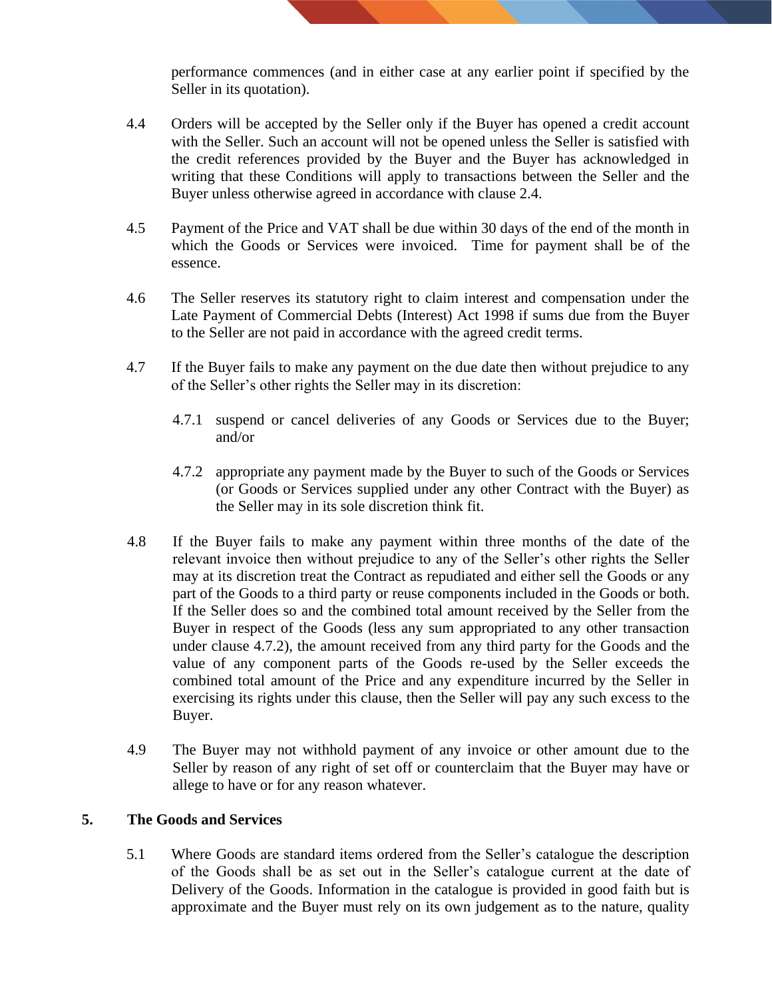performance commences (and in either case at any earlier point if specified by the Seller in its quotation).

- 4.4 Orders will be accepted by the Seller only if the Buyer has opened a credit account with the Seller. Such an account will not be opened unless the Seller is satisfied with the credit references provided by the Buyer and the Buyer has acknowledged in writing that these Conditions will apply to transactions between the Seller and the Buyer unless otherwise agreed in accordance with clause 2.4.
- 4.5 Payment of the Price and VAT shall be due within 30 days of the end of the month in which the Goods or Services were invoiced. Time for payment shall be of the essence.
- 4.6 The Seller reserves its statutory right to claim interest and compensation under the Late Payment of Commercial Debts (Interest) Act 1998 if sums due from the Buyer to the Seller are not paid in accordance with the agreed credit terms.
- 4.7 If the Buyer fails to make any payment on the due date then without prejudice to any of the Seller's other rights the Seller may in its discretion:
	- 4.7.1 suspend or cancel deliveries of any Goods or Services due to the Buyer; and/or
	- 4.7.2 appropriate any payment made by the Buyer to such of the Goods or Services (or Goods or Services supplied under any other Contract with the Buyer) as the Seller may in its sole discretion think fit.
- 4.8 If the Buyer fails to make any payment within three months of the date of the relevant invoice then without prejudice to any of the Seller's other rights the Seller may at its discretion treat the Contract as repudiated and either sell the Goods or any part of the Goods to a third party or reuse components included in the Goods or both. If the Seller does so and the combined total amount received by the Seller from the Buyer in respect of the Goods (less any sum appropriated to any other transaction under clause 4.7.2), the amount received from any third party for the Goods and the value of any component parts of the Goods re-used by the Seller exceeds the combined total amount of the Price and any expenditure incurred by the Seller in exercising its rights under this clause, then the Seller will pay any such excess to the Buyer.
- 4.9 The Buyer may not withhold payment of any invoice or other amount due to the Seller by reason of any right of set off or counterclaim that the Buyer may have or allege to have or for any reason whatever.

#### **5. The Goods and Services**

5.1 Where Goods are standard items ordered from the Seller's catalogue the description of the Goods shall be as set out in the Seller's catalogue current at the date of Delivery of the Goods. Information in the catalogue is provided in good faith but is approximate and the Buyer must rely on its own judgement as to the nature, quality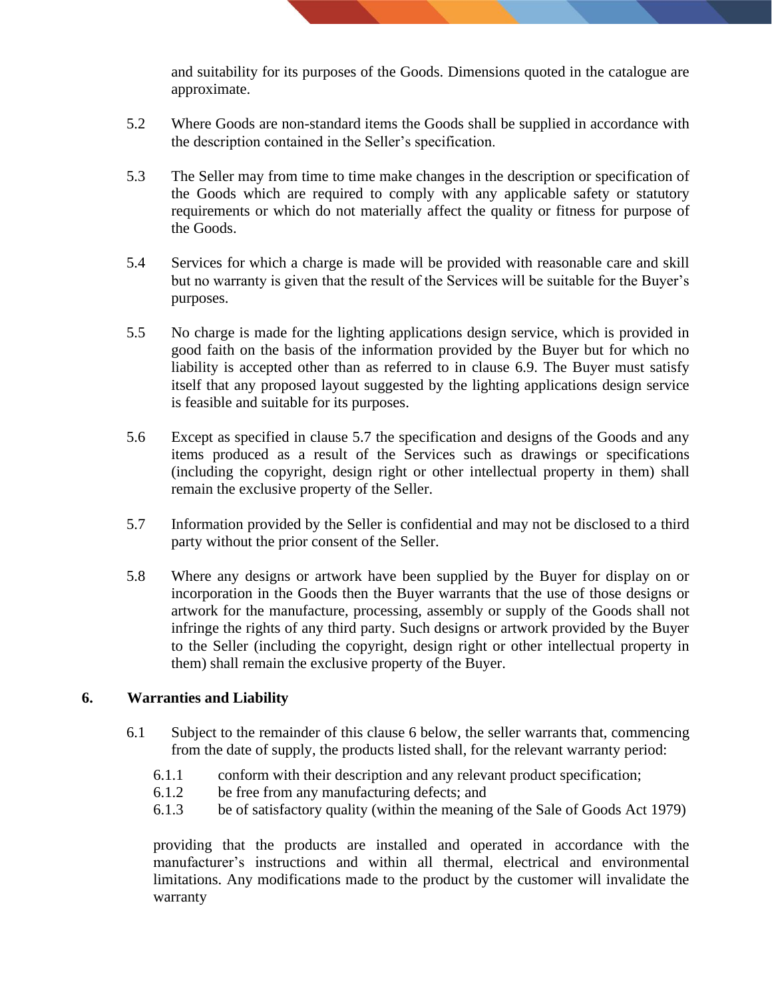and suitability for its purposes of the Goods. Dimensions quoted in the catalogue are approximate.

- 5.2 Where Goods are non-standard items the Goods shall be supplied in accordance with the description contained in the Seller's specification.
- 5.3 The Seller may from time to time make changes in the description or specification of the Goods which are required to comply with any applicable safety or statutory requirements or which do not materially affect the quality or fitness for purpose of the Goods.
- 5.4 Services for which a charge is made will be provided with reasonable care and skill but no warranty is given that the result of the Services will be suitable for the Buyer's purposes.
- 5.5 No charge is made for the lighting applications design service, which is provided in good faith on the basis of the information provided by the Buyer but for which no liability is accepted other than as referred to in clause 6.9. The Buyer must satisfy itself that any proposed layout suggested by the lighting applications design service is feasible and suitable for its purposes.
- 5.6 Except as specified in clause 5.7 the specification and designs of the Goods and any items produced as a result of the Services such as drawings or specifications (including the copyright, design right or other intellectual property in them) shall remain the exclusive property of the Seller.
- 5.7 Information provided by the Seller is confidential and may not be disclosed to a third party without the prior consent of the Seller.
- 5.8 Where any designs or artwork have been supplied by the Buyer for display on or incorporation in the Goods then the Buyer warrants that the use of those designs or artwork for the manufacture, processing, assembly or supply of the Goods shall not infringe the rights of any third party. Such designs or artwork provided by the Buyer to the Seller (including the copyright, design right or other intellectual property in them) shall remain the exclusive property of the Buyer.

#### **6. Warranties and Liability**

- 6.1 Subject to the remainder of this clause 6 below, the seller warrants that, commencing from the date of supply, the products listed shall, for the relevant warranty period:
	- 6.1.1 conform with their description and any relevant product specification;
	- 6.1.2 be free from any manufacturing defects; and
	- 6.1.3 be of satisfactory quality (within the meaning of the Sale of Goods Act 1979)

providing that the products are installed and operated in accordance with the manufacturer's instructions and within all thermal, electrical and environmental limitations. Any modifications made to the product by the customer will invalidate the warranty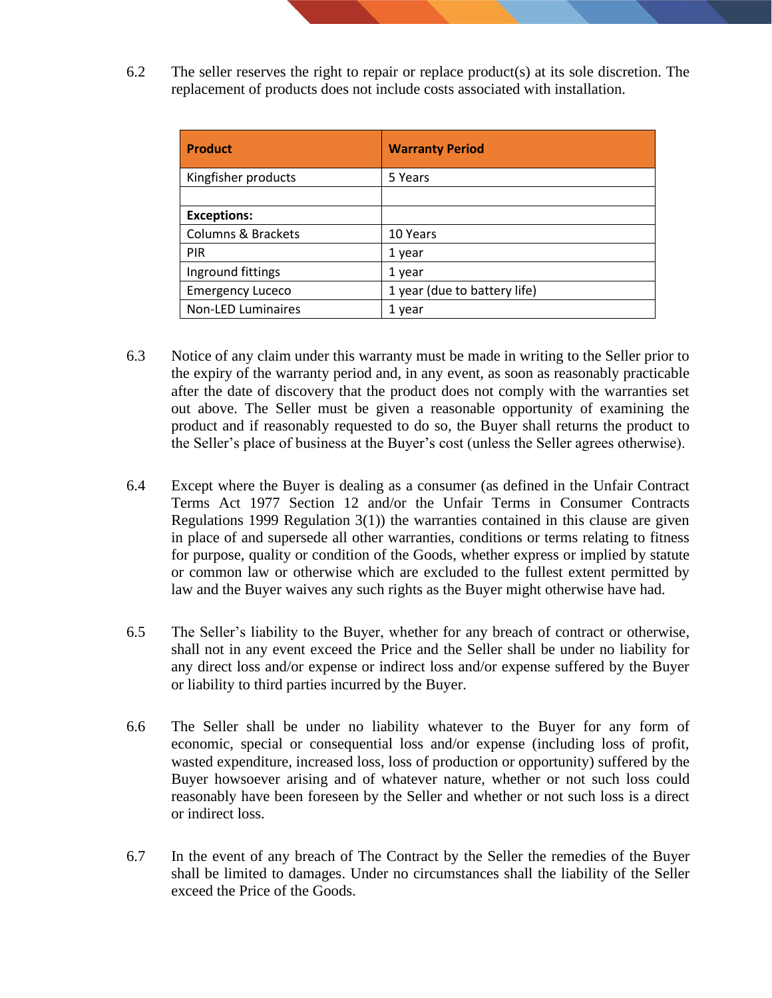6.2 The seller reserves the right to repair or replace product(s) at its sole discretion. The replacement of products does not include costs associated with installation.

| <b>Product</b>                | <b>Warranty Period</b>       |
|-------------------------------|------------------------------|
| Kingfisher products           | 5 Years                      |
|                               |                              |
| <b>Exceptions:</b>            |                              |
| <b>Columns &amp; Brackets</b> | 10 Years                     |
| <b>PIR</b>                    | 1 year                       |
| Inground fittings             | 1 year                       |
| <b>Emergency Luceco</b>       | 1 year (due to battery life) |
| <b>Non-LED Luminaires</b>     | 1 year                       |

- 6.3 Notice of any claim under this warranty must be made in writing to the Seller prior to the expiry of the warranty period and, in any event, as soon as reasonably practicable after the date of discovery that the product does not comply with the warranties set out above. The Seller must be given a reasonable opportunity of examining the product and if reasonably requested to do so, the Buyer shall returns the product to the Seller's place of business at the Buyer's cost (unless the Seller agrees otherwise).
- 6.4 Except where the Buyer is dealing as a consumer (as defined in the [Unfair Contract](file:///C:/wbs/NETbos.dll%3fOpenRef%3fsk=FEOKKCAA&rt=Unfair_Contract_Terms_Act1977:HTLEG-ACT+12:HTLEG-SECTION)  [Terms Act 1977 Section 12](file:///C:/wbs/NETbos.dll%3fOpenRef%3fsk=FEOKKCAA&rt=Unfair_Contract_Terms_Act1977:HTLEG-ACT+12:HTLEG-SECTION) and/or the Unfair Terms in Consumer Contracts Regulations 1999 Regulation 3(1)) the warranties contained in this clause are given in place of and supersede all other warranties, conditions or terms relating to fitness for purpose, quality or condition of the Goods, whether express or implied by statute or common law or otherwise which are excluded to the fullest extent permitted by law and the Buyer waives any such rights as the Buyer might otherwise have had.
- 6.5 The Seller's liability to the Buyer, whether for any breach of contract or otherwise, shall not in any event exceed the Price and the Seller shall be under no liability for any direct loss and/or expense or indirect loss and/or expense suffered by the Buyer or liability to third parties incurred by the Buyer.
- 6.6 The Seller shall be under no liability whatever to the Buyer for any form of economic, special or consequential loss and/or expense (including loss of profit, wasted expenditure, increased loss, loss of production or opportunity) suffered by the Buyer howsoever arising and of whatever nature, whether or not such loss could reasonably have been foreseen by the Seller and whether or not such loss is a direct or indirect loss.
- 6.7 In the event of any breach of The Contract by the Seller the remedies of the Buyer shall be limited to damages. Under no circumstances shall the liability of the Seller exceed the Price of the Goods.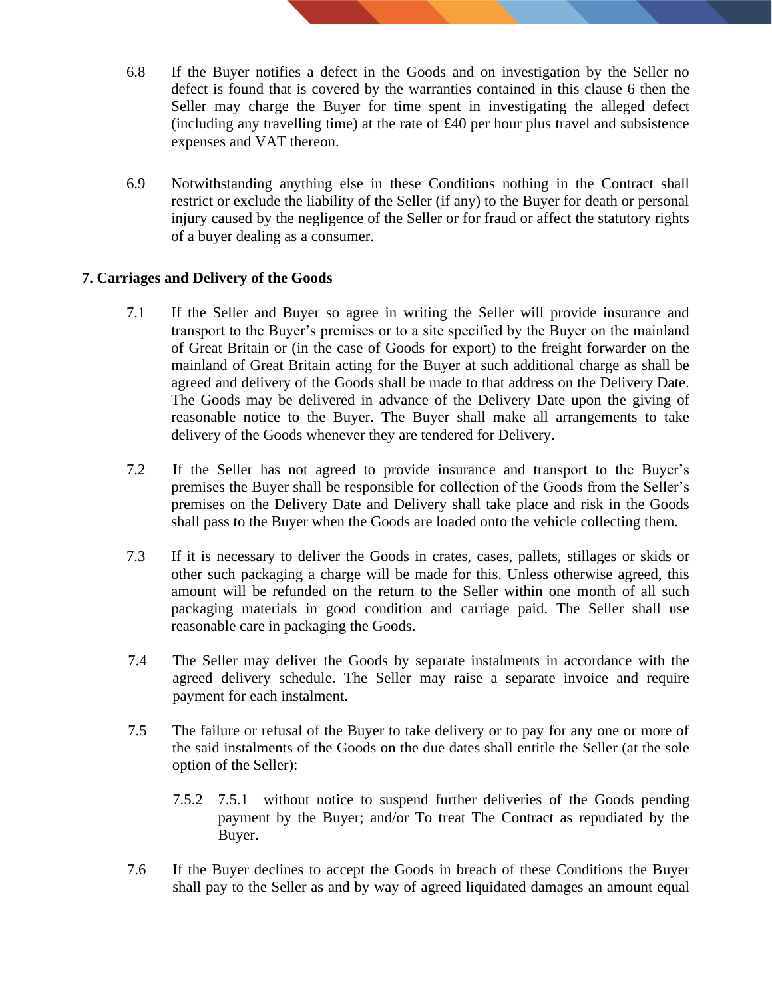- 6.8 If the Buyer notifies a defect in the Goods and on investigation by the Seller no defect is found that is covered by the warranties contained in this clause 6 then the Seller may charge the Buyer for time spent in investigating the alleged defect (including any travelling time) at the rate of £40 per hour plus travel and subsistence expenses and VAT thereon.
- 6.9 Notwithstanding anything else in these Conditions nothing in the Contract shall restrict or exclude the liability of the Seller (if any) to the Buyer for death or personal injury caused by the negligence of the Seller or for fraud or affect the statutory rights of a buyer dealing as a consumer.

#### **7. Carriages and Delivery of the Goods**

- 7.1 If the Seller and Buyer so agree in writing the Seller will provide insurance and transport to the Buyer's premises or to a site specified by the Buyer on the mainland of Great Britain or (in the case of Goods for export) to the freight forwarder on the mainland of Great Britain acting for the Buyer at such additional charge as shall be agreed and delivery of the Goods shall be made to that address on the Delivery Date. The Goods may be delivered in advance of the Delivery Date upon the giving of reasonable notice to the Buyer. The Buyer shall make all arrangements to take delivery of the Goods whenever they are tendered for Delivery.
- 7.2 If the Seller has not agreed to provide insurance and transport to the Buyer's premises the Buyer shall be responsible for collection of the Goods from the Seller's premises on the Delivery Date and Delivery shall take place and risk in the Goods shall pass to the Buyer when the Goods are loaded onto the vehicle collecting them.
- 7.3 If it is necessary to deliver the Goods in crates, cases, pallets, stillages or skids or other such packaging a charge will be made for this. Unless otherwise agreed, this amount will be refunded on the return to the Seller within one month of all such packaging materials in good condition and carriage paid. The Seller shall use reasonable care in packaging the Goods.
- 7.4 The Seller may deliver the Goods by separate instalments in accordance with the agreed delivery schedule. The Seller may raise a separate invoice and require payment for each instalment.
- 7.5 The failure or refusal of the Buyer to take delivery or to pay for any one or more of the said instalments of the Goods on the due dates shall entitle the Seller (at the sole option of the Seller):
	- 7.5.2 7.5.1 without notice to suspend further deliveries of the Goods pending payment by the Buyer; and/or To treat The Contract as repudiated by the Buyer.
- 7.6 If the Buyer declines to accept the Goods in breach of these Conditions the Buyer shall pay to the Seller as and by way of agreed liquidated damages an amount equal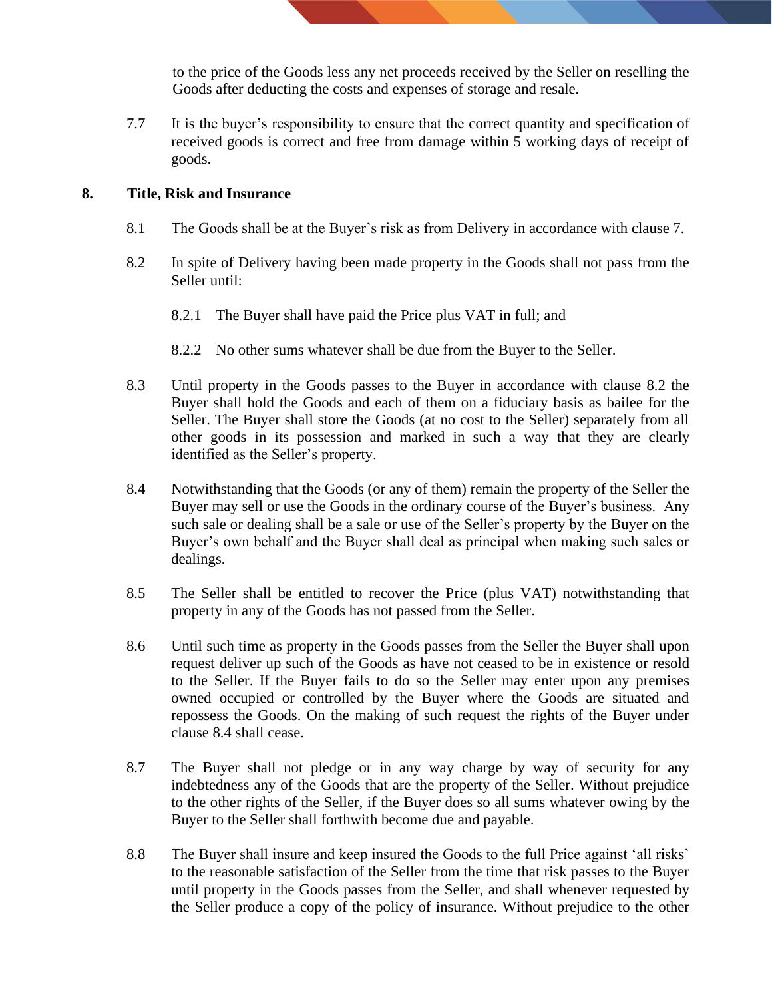to the price of the Goods less any net proceeds received by the Seller on reselling the Goods after deducting the costs and expenses of storage and resale.

7.7 It is the buyer's responsibility to ensure that the correct quantity and specification of received goods is correct and free from damage within 5 working days of receipt of goods.

#### **8. Title, Risk and Insurance**

- 8.1 The Goods shall be at the Buyer's risk as from Delivery in accordance with clause 7.
- 8.2 In spite of Delivery having been made property in the Goods shall not pass from the Seller until:
	- 8.2.1 The Buyer shall have paid the Price plus VAT in full; and
	- 8.2.2 No other sums whatever shall be due from the Buyer to the Seller.
- 8.3 Until property in the Goods passes to the Buyer in accordance with clause 8.2 the Buyer shall hold the Goods and each of them on a fiduciary basis as bailee for the Seller. The Buyer shall store the Goods (at no cost to the Seller) separately from all other goods in its possession and marked in such a way that they are clearly identified as the Seller's property.
- 8.4 Notwithstanding that the Goods (or any of them) remain the property of the Seller the Buyer may sell or use the Goods in the ordinary course of the Buyer's business. Any such sale or dealing shall be a sale or use of the Seller's property by the Buyer on the Buyer's own behalf and the Buyer shall deal as principal when making such sales or dealings.
- 8.5 The Seller shall be entitled to recover the Price (plus VAT) notwithstanding that property in any of the Goods has not passed from the Seller.
- 8.6 Until such time as property in the Goods passes from the Seller the Buyer shall upon request deliver up such of the Goods as have not ceased to be in existence or resold to the Seller. If the Buyer fails to do so the Seller may enter upon any premises owned occupied or controlled by the Buyer where the Goods are situated and repossess the Goods. On the making of such request the rights of the Buyer under clause 8.4 shall cease.
- 8.7 The Buyer shall not pledge or in any way charge by way of security for any indebtedness any of the Goods that are the property of the Seller. Without prejudice to the other rights of the Seller, if the Buyer does so all sums whatever owing by the Buyer to the Seller shall forthwith become due and payable.
- 8.8 The Buyer shall insure and keep insured the Goods to the full Price against 'all risks' to the reasonable satisfaction of the Seller from the time that risk passes to the Buyer until property in the Goods passes from the Seller, and shall whenever requested by the Seller produce a copy of the policy of insurance. Without prejudice to the other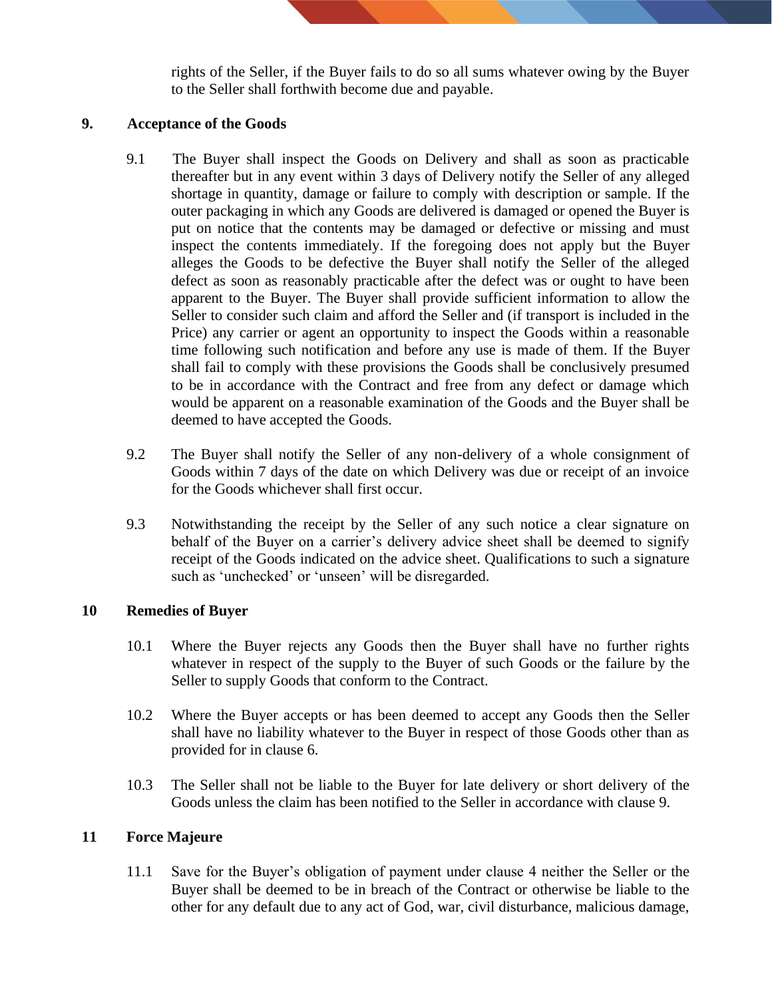rights of the Seller, if the Buyer fails to do so all sums whatever owing by the Buyer to the Seller shall forthwith become due and payable.

#### **9. Acceptance of the Goods**

- 9.1 The Buyer shall inspect the Goods on Delivery and shall as soon as practicable thereafter but in any event within 3 days of Delivery notify the Seller of any alleged shortage in quantity, damage or failure to comply with description or sample. If the outer packaging in which any Goods are delivered is damaged or opened the Buyer is put on notice that the contents may be damaged or defective or missing and must inspect the contents immediately. If the foregoing does not apply but the Buyer alleges the Goods to be defective the Buyer shall notify the Seller of the alleged defect as soon as reasonably practicable after the defect was or ought to have been apparent to the Buyer. The Buyer shall provide sufficient information to allow the Seller to consider such claim and afford the Seller and (if transport is included in the Price) any carrier or agent an opportunity to inspect the Goods within a reasonable time following such notification and before any use is made of them. If the Buyer shall fail to comply with these provisions the Goods shall be conclusively presumed to be in accordance with the Contract and free from any defect or damage which would be apparent on a reasonable examination of the Goods and the Buyer shall be deemed to have accepted the Goods.
- 9.2 The Buyer shall notify the Seller of any non-delivery of a whole consignment of Goods within 7 days of the date on which Delivery was due or receipt of an invoice for the Goods whichever shall first occur.
- 9.3 Notwithstanding the receipt by the Seller of any such notice a clear signature on behalf of the Buyer on a carrier's delivery advice sheet shall be deemed to signify receipt of the Goods indicated on the advice sheet. Qualifications to such a signature such as 'unchecked' or 'unseen' will be disregarded.

#### **10 Remedies of Buyer**

- 10.1 Where the Buyer rejects any Goods then the Buyer shall have no further rights whatever in respect of the supply to the Buyer of such Goods or the failure by the Seller to supply Goods that conform to the Contract.
- 10.2 Where the Buyer accepts or has been deemed to accept any Goods then the Seller shall have no liability whatever to the Buyer in respect of those Goods other than as provided for in clause 6.
- 10.3 The Seller shall not be liable to the Buyer for late delivery or short delivery of the Goods unless the claim has been notified to the Seller in accordance with clause 9.

#### **11 Force Majeure**

11.1 Save for the Buyer's obligation of payment under clause 4 neither the Seller or the Buyer shall be deemed to be in breach of the Contract or otherwise be liable to the other for any default due to any act of God, war, civil disturbance, malicious damage,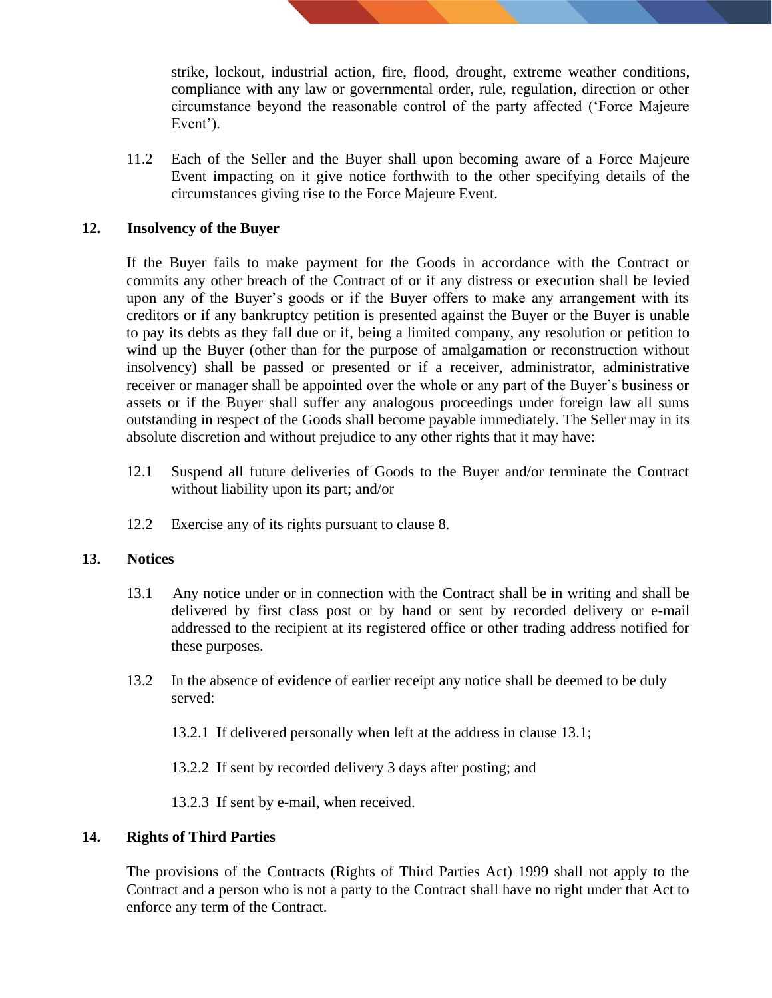strike, lockout, industrial action, fire, flood, drought, extreme weather conditions, compliance with any law or governmental order, rule, regulation, direction or other circumstance beyond the reasonable control of the party affected ('Force Majeure Event').

11.2 Each of the Seller and the Buyer shall upon becoming aware of a Force Majeure Event impacting on it give notice forthwith to the other specifying details of the circumstances giving rise to the Force Majeure Event.

### **12. Insolvency of the Buyer**

If the Buyer fails to make payment for the Goods in accordance with the Contract or commits any other breach of the Contract of or if any distress or execution shall be levied upon any of the Buyer's goods or if the Buyer offers to make any arrangement with its creditors or if any bankruptcy petition is presented against the Buyer or the Buyer is unable to pay its debts as they fall due or if, being a limited company, any resolution or petition to wind up the Buyer (other than for the purpose of amalgamation or reconstruction without insolvency) shall be passed or presented or if a receiver, administrator, administrative receiver or manager shall be appointed over the whole or any part of the Buyer's business or assets or if the Buyer shall suffer any analogous proceedings under foreign law all sums outstanding in respect of the Goods shall become payable immediately. The Seller may in its absolute discretion and without prejudice to any other rights that it may have:

- 12.1 Suspend all future deliveries of Goods to the Buyer and/or terminate the Contract without liability upon its part; and/or
- 12.2 Exercise any of its rights pursuant to clause 8.

#### **13. Notices**

- 13.1 Any notice under or in connection with the Contract shall be in writing and shall be delivered by first class post or by hand or sent by recorded delivery or e-mail addressed to the recipient at its registered office or other trading address notified for these purposes.
- 13.2 In the absence of evidence of earlier receipt any notice shall be deemed to be duly served:
	- 13.2.1 If delivered personally when left at the address in clause 13.1;
	- 13.2.2 If sent by recorded delivery 3 days after posting; and

13.2.3 If sent by e-mail, when received.

#### **14. Rights of Third Parties**

The provisions of the Contracts (Rights of Third Parties Act) 1999 shall not apply to the Contract and a person who is not a party to the Contract shall have no right under that Act to enforce any term of the Contract.